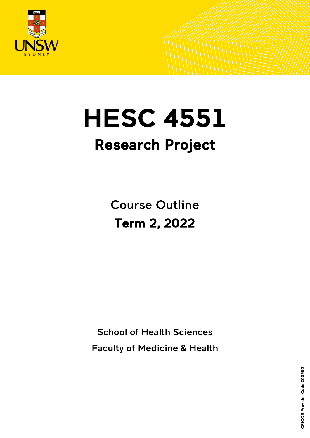

# **HESC 4551** Research Project

Course Outline Term 2, 2022

School of Health Sciences Faculty of Medicine & Health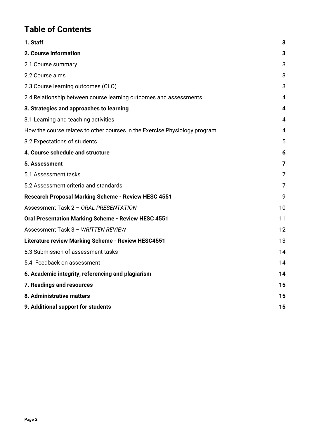# **Table of Contents**

| 1. Staff                                                                   | 3  |
|----------------------------------------------------------------------------|----|
| 2. Course information                                                      | 3  |
| 2.1 Course summary                                                         | 3  |
| 2.2 Course aims                                                            | 3  |
| 2.3 Course learning outcomes (CLO)                                         | 3  |
| 2.4 Relationship between course learning outcomes and assessments          | 4  |
| 3. Strategies and approaches to learning                                   | 4  |
| 3.1 Learning and teaching activities                                       | 4  |
| How the course relates to other courses in the Exercise Physiology program | 4  |
| 3.2 Expectations of students                                               | 5  |
| 4. Course schedule and structure                                           | 6  |
| 5. Assessment                                                              | 7  |
| 5.1 Assessment tasks                                                       | 7  |
| 5.2 Assessment criteria and standards                                      | 7  |
| Research Proposal Marking Scheme - Review HESC 4551                        | 9  |
| Assessment Task 2 - ORAL PRESENTATION                                      | 10 |
| <b>Oral Presentation Marking Scheme - Review HESC 4551</b>                 | 11 |
| Assessment Task 3 - WRITTEN REVIEW                                         | 12 |
| <b>Literature review Marking Scheme - Review HESC4551</b>                  | 13 |
| 5.3 Submission of assessment tasks                                         | 14 |
| 5.4. Feedback on assessment                                                | 14 |
| 6. Academic integrity, referencing and plagiarism                          | 14 |
| 7. Readings and resources                                                  | 15 |
| 8. Administrative matters                                                  | 15 |
| 9. Additional support for students                                         | 15 |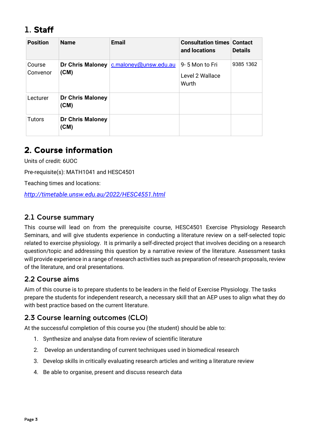# <span id="page-2-0"></span>1. Staff

| <b>Position</b>    | <b>Name</b>                     | <b>Email</b>          | <b>Consultation times Contact</b><br>and locations | <b>Details</b> |
|--------------------|---------------------------------|-----------------------|----------------------------------------------------|----------------|
| Course<br>Convenor | Dr Chris Maloney<br>(CM)        | c.maloney@unsw.edu.au | 9-5 Mon to Fri<br>Level 2 Wallace<br>Wurth         | 9385 1362      |
| Lecturer           | <b>Dr Chris Maloney</b><br>(CM) |                       |                                                    |                |
| <b>Tutors</b>      | <b>Dr Chris Maloney</b><br>(CM) |                       |                                                    |                |

# <span id="page-2-1"></span>2. Course information

Units of credit: 6UOC

Pre-requisite(s): MATH1041 and HESC4501

Teaching times and locations:

*<http://timetable.unsw.edu.au/2022/HESC4551.html>*

### <span id="page-2-2"></span>2.1 Course summary

This course will lead on from the prerequisite course, HESC4501 Exercise Physiology Research Seminars, and will give students experience in conducting a literature review on a self-selected topic related to exercise physiology. It is primarily a self-directed project that involves deciding on a research question/topic and addressing this question by a narrative review of the literature. Assessment tasks will provide experience in a range of research activities such as preparation of research proposals, review of the literature, and oral presentations.

### <span id="page-2-3"></span>2.2 Course aims

Aim of this course is to prepare students to be leaders in the field of Exercise Physiology. The tasks prepare the students for independent research, a necessary skill that an AEP uses to align what they do with best practice based on the current literature.

### <span id="page-2-4"></span>2.3 Course learning outcomes (CLO)

At the successful completion of this course you (the student) should be able to:

- 1. Synthesize and analyse data from review of scientific literature
- 2. Develop an understanding of current techniques used in biomedical research
- 3. Develop skills in critically evaluating research articles and writing a literature review
- 4. Be able to organise, present and discuss research data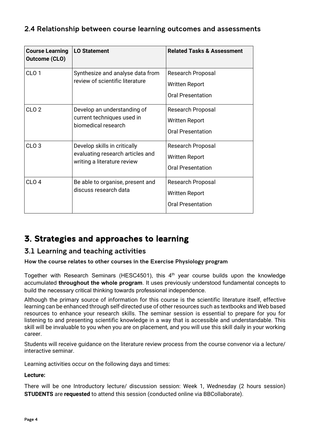### <span id="page-3-0"></span>2.4 Relationship between course learning outcomes and assessments

| <b>Course Learning</b><br><b>Outcome (CLO)</b> | <b>LO Statement</b>                                                                             | <b>Related Tasks &amp; Assessment</b>                                  |
|------------------------------------------------|-------------------------------------------------------------------------------------------------|------------------------------------------------------------------------|
| CLO <sub>1</sub>                               | Synthesize and analyse data from<br>review of scientific literature                             | Research Proposal<br>Written Report<br><b>Oral Presentation</b>        |
| CLO <sub>2</sub>                               | Develop an understanding of<br>current techniques used in<br>biomedical research                | Research Proposal<br><b>Written Report</b><br><b>Oral Presentation</b> |
| CLO <sub>3</sub>                               | Develop skills in critically<br>evaluating research articles and<br>writing a literature review | Research Proposal<br><b>Written Report</b><br><b>Oral Presentation</b> |
| CLO <sub>4</sub>                               | Be able to organise, present and<br>discuss research data                                       | Research Proposal<br>Written Report<br><b>Oral Presentation</b>        |

# <span id="page-3-1"></span>3. Strategies and approaches to learning

### <span id="page-3-2"></span>3.1 Learning and teaching activities

<span id="page-3-3"></span>How the course relates to other courses in the Exercise Physiology program

Together with Research Seminars (HESC4501), this  $4<sup>th</sup>$  year course builds upon the knowledge accumulated **throughout the whole program**. It uses previously understood fundamental concepts to build the necessary critical thinking towards professional independence.

Although the primary source of information for this course is the scientific literature itself, effective learning can be enhanced through self-directed use of other resources such as textbooks and Web based resources to enhance your research skills. The seminar session is essential to prepare for you for listening to and presenting scientific knowledge in a way that is accessible and understandable. This skill will be invaluable to you when you are on placement, and you will use this skill daily in your working career.

Students will receive guidance on the literature review process from the course convenor via a lecture/ interactive seminar.

Learning activities occur on the following days and times:

#### **Lecture:**

There will be one Introductory lecture/ discussion session: Week 1, Wednesday (2 hours session) **STUDENTS** are **requested** to attend this session (conducted online via BBCollaborate).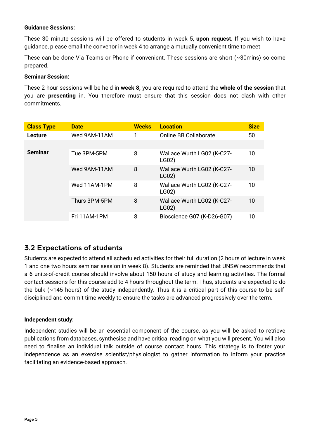#### **Guidance Sessions:**

These 30 minute sessions will be offered to students in week 5, **upon request**. If you wish to have guidance, please email the convenor in week 4 to arrange a mutually convenient time to meet

These can be done Via Teams or Phone if convenient. These sessions are short (~30mins) so come prepared.

#### **Seminar Session:**

These 2 hour sessions will be held in **week 8,** you are required to attend the **whole of the session** that you are **presenting** in. You therefore must ensure that this session does not clash with other commitments.

| <b>Class Type</b> | <b>Date</b>   | <b>Weeks</b> | <b>Location</b>                     | <b>Size</b> |
|-------------------|---------------|--------------|-------------------------------------|-------------|
| Lecture           | Wed 9AM-11AM  | 1            | <b>Online BB Collaborate</b>        | 50          |
|                   |               |              |                                     |             |
| <b>Seminar</b>    | Tue 3PM-5PM   | 8            | Wallace Wurth LG02 (K-C27-<br>LG02) | 10          |
|                   | Wed 9AM-11AM  | 8            | Wallace Wurth LG02 (K-C27-<br>LG02) | 10          |
|                   | Wed 11AM-1PM  | 8            | Wallace Wurth LG02 (K-C27-<br>LG02) | 10          |
|                   | Thurs 3PM-5PM | 8            | Wallace Wurth LG02 (K-C27-<br>LG02) | 10<br>10    |
|                   | Fri 11AM-1PM  | 8            | Bioscience G07 (K-D26-G07)          |             |

### <span id="page-4-0"></span>3.2 Expectations of students

Students are expected to attend all scheduled activities for their full duration (2 hours of lecture in week 1 and one two hours seminar session in week 8). Students are reminded that UNSW recommends that a 6 units-of-credit course should involve about 150 hours of study and learning activities. The formal contact sessions for this course add to 4 hours throughout the term. Thus, students are expected to do the bulk (~145 hours) of the study independently. Thus it is a critical part of this course to be selfdisciplined and commit time weekly to ensure the tasks are advanced progressively over the term.

#### **Independent study:**

Independent studies will be an essential component of the course, as you will be asked to retrieve publications from databases, synthesise and have critical reading on what you will present. You will also need to finalise an individual talk outside of course contact hours. This strategy is to foster your independence as an exercise scientist/physiologist to gather information to inform your practice facilitating an evidence-based approach.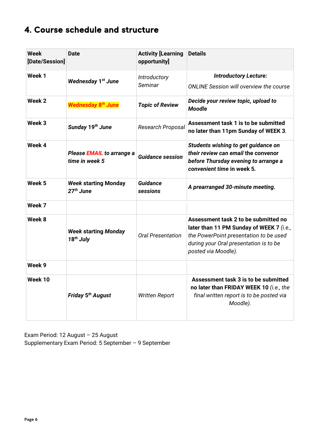# <span id="page-5-0"></span>4. Course schedule and structure

| <b>Week</b><br>[Date/Session] | <b>Date</b>                                 | <b>Activity [Learning</b><br>opportunity] | <b>Details</b>                                                                                                                                                                              |
|-------------------------------|---------------------------------------------|-------------------------------------------|---------------------------------------------------------------------------------------------------------------------------------------------------------------------------------------------|
| Week 1                        | <b>Wednesday 1st June</b>                   | Introductory<br>Seminar                   | <b>Introductory Lecture:</b><br><b>ONLINE Session will overview the course</b>                                                                                                              |
| Week 2                        | Wednesday 8 <sup>th</sup> June              | <b>Topic of Review</b>                    | Decide your review topic, upload to<br><b>Moodle</b>                                                                                                                                        |
| Week 3                        | Sunday 19th June                            | Research Proposal                         | Assessment task 1 is to be submitted<br>no later than 11pm Sunday of WEEK 3.                                                                                                                |
| Week 4                        | Please EMAIL to arrange a<br>time in week 5 | <b>Guidance session</b>                   | Students wishing to get guidance on<br>their review can email the convenor<br>before Thursday evening to arrange a<br>convenient time in week 5.                                            |
| Week 5                        | <b>Week starting Monday</b><br>$27th$ June  | <b>Guidance</b><br>sessions               | A prearranged 30-minute meeting.                                                                                                                                                            |
| Week 7                        |                                             |                                           |                                                                                                                                                                                             |
| Week 8                        | <b>Week starting Monday</b><br>$18th$ July  | <b>Oral Presentation</b>                  | Assessment task 2 to be submitted no<br>later than 11 PM Sunday of WEEK 7 (i.e.,<br>the PowerPoint presentation to be used<br>during your Oral presentation is to be<br>posted via Moodle). |
| Week 9                        |                                             |                                           |                                                                                                                                                                                             |
| Week 10                       | Friday 5 <sup>th</sup> August               | <b>Written Report</b>                     | Assessment task 3 is to be submitted<br>no later than FRIDAY WEEK 10 (i.e., the<br>final written report is to be posted via<br>Moodle).                                                     |

Exam Period: 12 August – 25 August Supplementary Exam Period: 5 September – 9 September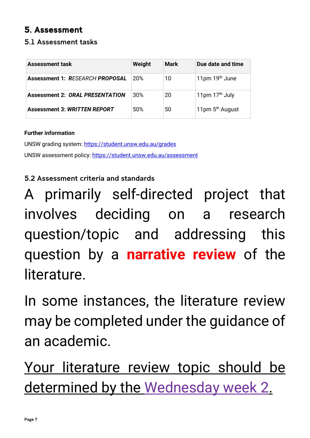# <span id="page-6-0"></span>5. Assessment

### <span id="page-6-1"></span>5.1 Assessment tasks

| <b>Assessment task</b>                 | Weight | Mark | Due date and time           |
|----------------------------------------|--------|------|-----------------------------|
| <b>Assessment 1: RESEARCH PROPOSAL</b> | 20%    | 10   | 11pm $19th$ June            |
| <b>Assessment 2: ORAL PRESENTATION</b> | 30%    | 20   | 11pm $17th$ July            |
| <b>Assessment 3: WRITTEN REPORT</b>    | 50%    | 50   | 11pm 5 <sup>th</sup> August |

### **Further information**

UNSW grading system:<https://student.unsw.edu.au/grades> UNSW assessment policy:<https://student.unsw.edu.au/assessment>

# <span id="page-6-2"></span>5.2 Assessment criteria and standards

A primarily self-directed project that involves deciding on a research question/topic and addressing this question by a **narrative review** of the literature.

In some instances, the literature review may be completed under the guidance of an academic.

Your literature review topic should be determined by the Wednesday week 2.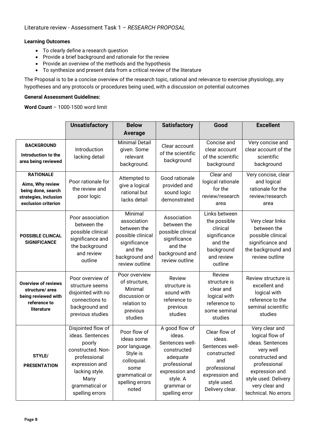#### **Learning Outcomes**

- To clearly define a research question
- Provide a brief background and rationale for the review
- Provide an overview of the methods and the hypothesis
- To synthesize and present data from a critical review of the literature

The Proposal is to be a concise overview of the research topic, rational and relevance to exercise physiology, any hypotheses and any protocols or procedures being used, with a discussion on potential outcomes

#### **General Assessment Guidelines:**

**Word Count** – 1000-1500 word limit

|                                                                                                            | <b>Unsatisfactory</b><br><b>Below</b><br><b>Satisfactory</b>                                                                                                           |                                                                                                                               | Good                                                                                                                                                 | <b>Excellent</b>                                                                                                                     |                                                                                                                                                                                           |
|------------------------------------------------------------------------------------------------------------|------------------------------------------------------------------------------------------------------------------------------------------------------------------------|-------------------------------------------------------------------------------------------------------------------------------|------------------------------------------------------------------------------------------------------------------------------------------------------|--------------------------------------------------------------------------------------------------------------------------------------|-------------------------------------------------------------------------------------------------------------------------------------------------------------------------------------------|
|                                                                                                            |                                                                                                                                                                        | <b>Average</b>                                                                                                                |                                                                                                                                                      |                                                                                                                                      |                                                                                                                                                                                           |
| <b>BACKGROUND</b><br>Introduction to the<br>area being reviewed                                            | Introduction<br>lacking detail                                                                                                                                         | <b>Minimal Detail</b><br>given. Some<br>relevant<br>background.                                                               | Clear account<br>of the scientific<br>background                                                                                                     | Concise and<br>clear account<br>of the scientific<br>background                                                                      | Very concise and<br>clear account of the<br>scientific<br>background                                                                                                                      |
| <b>RATIONALE</b><br>Aims, Why review<br>being done, search<br>strategies, inclusion<br>exclusion criterion | Poor rationale for<br>the review and<br>poor logic                                                                                                                     | Attempted to<br>give a logical<br>rational but<br>lacks detail                                                                | Good rationale<br>provided and<br>sound logic<br>demonstrated                                                                                        | Clear and<br>logical rationale<br>for the<br>review/research<br>area                                                                 | Very concise, clear<br>and logical<br>rationale for the<br>review/research<br>area                                                                                                        |
| <b>POSSIBLE CLINCAL</b><br><b>SIGNIFICANCE</b>                                                             | Poor association<br>between the<br>possible clinical<br>significance and<br>the background<br>and review<br>outline                                                    | Minimal<br>association<br>between the<br>possible clinical<br>significance<br>and the<br>background and<br>review outline     | Association<br>between the<br>possible clinical<br>significance<br>and the<br>background and<br>review outline                                       | Links between<br>the possible<br>clinical<br>significance<br>and the<br>background<br>and review<br>outline                          | Very clear links<br>between the<br>possible clinical<br>significance and<br>the background and<br>review outline                                                                          |
| <b>Overview of reviews</b><br>structure/area<br>being reviewed with<br>reference to<br>literature          | Poor overview of<br>structure seems<br>disjointed with no<br>connections to<br>background and<br>previous studies                                                      | Poor overview<br>of structure,<br>Minimal<br>discussion or<br>relation to<br>previous<br>studies                              | <b>Review</b><br>structure is<br>sound with<br>reference to<br>previous<br>studies                                                                   | Review<br>structure is<br>clear and<br>logical with<br>reference to<br>some seminal<br>studies                                       | Review structure is<br>excellent and<br>logical with<br>reference to the<br>seminal scientific<br>studies                                                                                 |
| STYLE/<br><b>PRESENTATION</b>                                                                              | Disjointed flow of<br>ideas. Sentences<br>poorly<br>constructed. Non-<br>professional<br>expression and<br>lacking style.<br>Many<br>grammatical or<br>spelling errors | Poor flow of<br>ideas some<br>poor language.<br>Style is<br>colloquial.<br>some<br>grammatical or<br>spelling errors<br>noted | A good flow of<br>ideas.<br>Sentences well-<br>constructed<br>adequate<br>professional<br>expression and<br>style. A<br>grammar or<br>spelling error | Clear flow of<br>ideas.<br>Sentences well-<br>constructed<br>and<br>professional<br>expression and<br>style used.<br>Delivery clear. | Very clear and<br>logical flow of<br>ideas. Sentences<br>very well<br>constructed and<br>professional<br>expression and<br>style used. Delivery<br>very clear and<br>technical. No errors |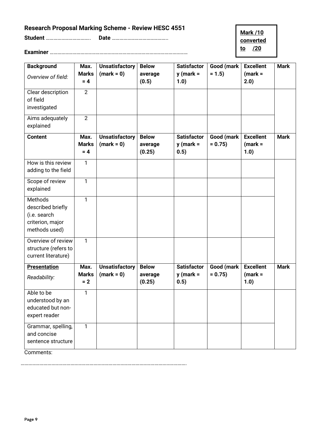## <span id="page-8-0"></span>**Research Proposal Marking Scheme - Review HESC 4551**

**Student** …………………………….. **Date** ……………………………………..

**Mark /10 converted to /20**

**Examiner** ………………………………………………………………………………………………

| <b>Background</b><br>Overview of field:                                           | Max.<br><b>Marks</b><br>$= 4$ | <b>Unsatisfactory</b><br>$(maxk = 0)$ | <b>Below</b><br>average<br>(0.5)  | <b>Satisfactor</b><br>$y$ (mark =<br>1.0) | Good (mark<br>$= 1.5$  | <b>Excellent</b><br>$(maxk =$<br>2.0) | <b>Mark</b> |
|-----------------------------------------------------------------------------------|-------------------------------|---------------------------------------|-----------------------------------|-------------------------------------------|------------------------|---------------------------------------|-------------|
| Clear description<br>of field<br>investigated                                     | $\overline{2}$                |                                       |                                   |                                           |                        |                                       |             |
| Aims adequately<br>explained                                                      | $\overline{2}$                |                                       |                                   |                                           |                        |                                       |             |
| <b>Content</b>                                                                    | Max.<br><b>Marks</b><br>$= 4$ | <b>Unsatisfactory</b><br>$(maxk = 0)$ | <b>Below</b><br>average<br>(0.25) | <b>Satisfactor</b><br>$y$ (mark =<br>0.5) | Good (mark<br>$= 0.75$ | <b>Excellent</b><br>$(maxk =$<br>1.0) | <b>Mark</b> |
| How is this review<br>adding to the field                                         | 1                             |                                       |                                   |                                           |                        |                                       |             |
| Scope of review<br>explained                                                      | $\mathbf{1}$                  |                                       |                                   |                                           |                        |                                       |             |
| Methods<br>described briefly<br>(i.e. search<br>criterion, major<br>methods used) | 1                             |                                       |                                   |                                           |                        |                                       |             |
| Overview of review<br>structure (refers to<br>current literature)                 | $\mathbf{1}$                  |                                       |                                   |                                           |                        |                                       |             |
| <b>Presentation</b><br>Readability:                                               | Max.<br><b>Marks</b><br>$= 2$ | <b>Unsatisfactory</b><br>$(maxk = 0)$ | <b>Below</b><br>average<br>(0.25) | <b>Satisfactor</b><br>$y$ (mark =<br>0.5) | Good (mark<br>$= 0.75$ | <b>Excellent</b><br>$(mark =$<br>1.0) | <b>Mark</b> |
| Able to be<br>understood by an<br>educated but non-<br>expert reader              | $\mathbf{1}$                  |                                       |                                   |                                           |                        |                                       |             |
| Grammar, spelling,<br>and concise<br>sentence structure                           | $\mathbf{1}$                  |                                       |                                   |                                           |                        |                                       |             |

Comments:

………………………………………………………………………………………………………………….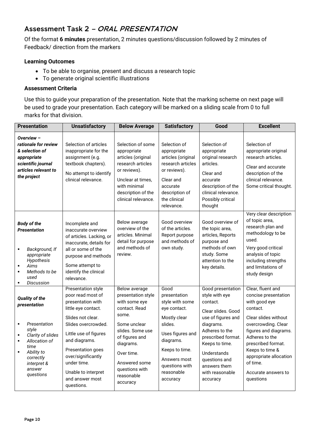### <span id="page-9-0"></span>Assessment Task 2 – ORAL PRESENTATION

Of the format **6 minutes** presentation, 2 minutes questions/discussion followed by 2 minutes of Feedback/ direction from the markers

#### **Learning Outcomes**

- To be able to organise, present and discuss a research topic
- To generate original scientific illustrations

#### **Assessment Criteria**

Use this to guide your preparation of the presentation. Note that the marking scheme on next page will be used to grade your presentation. Each category will be marked on a sliding scale from 0 to full marks for that division.

| <b>Presentation</b>                                                                                                                                                                             | <b>Unsatisfactory</b>                                                                                                                                                                                                                                                                       | <b>Below Average</b>                                                                                                                                                                                                         | <b>Satisfactory</b>                                                                                                                                                                               | Good                                                                                                                                                                                                                                              | <b>Excellent</b>                                                                                                                                                                                                                                                                    |
|-------------------------------------------------------------------------------------------------------------------------------------------------------------------------------------------------|---------------------------------------------------------------------------------------------------------------------------------------------------------------------------------------------------------------------------------------------------------------------------------------------|------------------------------------------------------------------------------------------------------------------------------------------------------------------------------------------------------------------------------|---------------------------------------------------------------------------------------------------------------------------------------------------------------------------------------------------|---------------------------------------------------------------------------------------------------------------------------------------------------------------------------------------------------------------------------------------------------|-------------------------------------------------------------------------------------------------------------------------------------------------------------------------------------------------------------------------------------------------------------------------------------|
| Overview -<br>rationale for review<br>& selection of<br>appropriate<br>scientific journal<br>articles relevant to<br>the project                                                                | Selection of articles<br>inappropriate for the<br>assignment (e.g.<br>textbook chapters).<br>No attempt to identify<br>clinical relevance.                                                                                                                                                  | Selection of some<br>appropriate<br>articles (original<br>research articles<br>or reviews).<br>Unclear at times.<br>with minimal<br>description of the<br>clinical relevance.                                                | Selection of<br>appropriate<br>articles (original<br>research articles<br>or reviews).<br>Clear and<br>accurate<br>description of<br>the clinical<br>relevance.                                   | Selection of<br>appropriate<br>original research<br>articles.<br>Clear and<br>accurate<br>description of the<br>clinical relevance.<br>Possibly critical<br>thought                                                                               | Selection of<br>appropriate original<br>research articles.<br>Clear and accurate<br>description of the<br>clinical relevance.<br>Some critical thought.                                                                                                                             |
| <b>Body of the</b><br><b>Presentation</b><br>Background, If<br>$\blacksquare$<br>appropriate<br>Hypothesis<br>Aims<br>Methods to be<br>$\blacksquare$<br>used<br><b>Discussion</b><br>٠         | Incomplete and<br>inaccurate overview<br>of articles. Lacking, or<br>inaccurate, details for<br>all or some of the<br>purpose and methods<br>Some attempt to<br>identify the clinical<br>relevance.                                                                                         | Below average<br>overview of the<br>articles. Minimal<br>detail for purpose<br>and methods of<br>review.                                                                                                                     | Good overview<br>of the articles.<br>Report purpose<br>and methods of<br>own study.                                                                                                               | Good overview of<br>the topic area,<br>articles, Reports<br>purpose and<br>methods of own<br>study. Some<br>attention to the<br>key details.                                                                                                      | Very clear description<br>of topic area,<br>research plan and<br>methodology to be<br>used.<br>Very good critical<br>analysis of topic<br>including strengths<br>and limitations of<br>study design                                                                                 |
| <b>Quality of the</b><br>presentation<br>Presentation<br>style<br>Clarity of slides<br>$\blacksquare$<br>Allocation of<br>time<br>Ability to<br>correctly<br>interpret &<br>answer<br>questions | Presentation style<br>poor read most of<br>presentation with<br>little eye contact.<br>Slides not clear.<br>Slides overcrowded.<br>Little use of figures<br>and diagrams.<br>Presentation goes<br>over/significantly<br>under time.<br>Unable to interpret<br>and answer most<br>questions. | Below average<br>presentation style<br>with some eye<br>contact. Read<br>some.<br>Some unclear<br>slides. Some use<br>of figures and<br>diagrams.<br>Over time.<br>Answered some<br>questions with<br>reasonable<br>accuracy | Good<br>presentation<br>style with some<br>eye contact.<br>Mostly clear<br>slides.<br>Uses figures and<br>diagrams.<br>Keeps to time.<br>Answers most<br>questions with<br>reasonable<br>accuracy | Good presentation<br>style with eye<br>contact.<br>Clear slides. Good<br>use of figures and<br>diagrams.<br>Adheres to the<br>prescribed format.<br>Keeps to time.<br>Understands<br>questions and<br>answers them<br>with reasonable<br>accuracy | Clear, fluent and<br>concise presentation<br>with good eye<br>contact.<br>Clear slides without<br>overcrowding. Clear<br>figures and diagrams.<br>Adheres to the<br>prescribed format.<br>Keeps to time &<br>appropriate allocation<br>of time.<br>Accurate answers to<br>questions |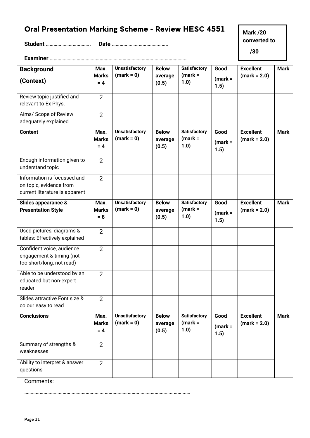# <span id="page-10-0"></span>Oral Presentation Marking Scheme - Review HESC 4551

**Student** …………………………….. **Date** ……………………………………..

**Mark /20 converted to**

 **/30**

**Examiner** ………………………………………………………………………………………………

|                                                                  | Max.                          | <b>Unsatisfactory</b>                 | <b>Below</b>                     | <b>Satisfactory</b>                      | Good                      | <b>Excellent</b>                   | <b>Mark</b> |
|------------------------------------------------------------------|-------------------------------|---------------------------------------|----------------------------------|------------------------------------------|---------------------------|------------------------------------|-------------|
| <b>Background</b>                                                | <b>Marks</b>                  | $(maxk = 0)$                          | average                          | $(maxk =$                                |                           | $(maxk = 2.0)$                     |             |
| (Context)                                                        | $= 4$                         |                                       | (0.5)                            | 1.0)                                     | $(mark =$<br>1.5)         |                                    |             |
| Review topic justified and<br>relevant to Ex Phys.               | 2                             |                                       |                                  |                                          |                           |                                    |             |
| Aims/ Scope of Review<br>adequately explained                    | $\overline{2}$                |                                       |                                  |                                          |                           |                                    |             |
| <b>Content</b>                                                   | Max.<br><b>Marks</b><br>$= 4$ | <b>Unsatisfactory</b><br>$(maxk = 0)$ | <b>Below</b><br>average<br>(0.5) | <b>Satisfactory</b><br>$(maxk =$<br>1.0) | Good<br>$(maxk =$<br>1.5) | <b>Excellent</b><br>$(maxk = 2.0)$ | <b>Mark</b> |
| Enough information given to<br>understand topic                  | $\overline{2}$                |                                       |                                  |                                          |                           |                                    |             |
| Information is focussed and                                      | 2                             |                                       |                                  |                                          |                           |                                    |             |
| on topic, evidence from                                          |                               |                                       |                                  |                                          |                           |                                    |             |
| current literature is apparent                                   |                               |                                       |                                  |                                          |                           |                                    |             |
| Slides appearance &                                              | Max.                          | <b>Unsatisfactory</b>                 | <b>Below</b>                     | <b>Satisfactory</b>                      | Good                      | <b>Excellent</b>                   | <b>Mark</b> |
| <b>Presentation Style</b>                                        | <b>Marks</b><br>$= 8$         | $(maxk = 0)$                          | average<br>(0.5)                 | $(maxk =$<br>1.0)                        | $(mark =$<br>1.5)         | $(maxk = 2.0)$                     |             |
| Used pictures, diagrams &                                        | $\overline{2}$                |                                       |                                  |                                          |                           |                                    |             |
| tables: Effectively explained                                    |                               |                                       |                                  |                                          |                           |                                    |             |
| Confident voice, audience                                        | 2                             |                                       |                                  |                                          |                           |                                    |             |
| engagement & timing (not                                         |                               |                                       |                                  |                                          |                           |                                    |             |
| too short/long, not read)                                        |                               |                                       |                                  |                                          |                           |                                    |             |
| Able to be understood by an<br>educated but non-expert<br>reader | $\overline{2}$                |                                       |                                  |                                          |                           |                                    |             |
| Slides attractive Font size &<br>colour easy to read             | $\overline{2}$                |                                       |                                  |                                          |                           |                                    |             |
| <b>Conclusions</b>                                               | Max.<br><b>Marks</b><br>$= 4$ | <b>Unsatisfactory</b><br>$(maxk = 0)$ | <b>Below</b><br>average<br>(0.5) | <b>Satisfactory</b><br>$(maxk =$<br>1.0) | Good<br>$(maxk =$<br>1.5) | <b>Excellent</b><br>$(maxk = 2.0)$ | <b>Mark</b> |
| Summary of strengths &<br>weaknesses                             | $\overline{2}$                |                                       |                                  |                                          |                           |                                    |             |
| Ability to interpret & answer<br>questions                       | $\overline{2}$                |                                       |                                  |                                          |                           |                                    |             |

Comments:

………………………………………………………………………………………………………………….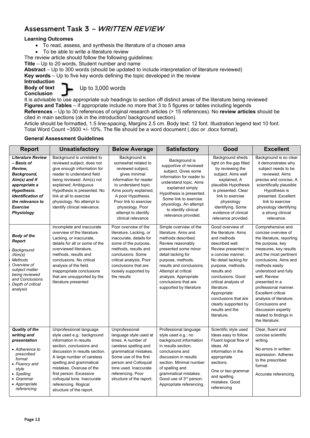### <span id="page-11-0"></span>Assessment Task 3 – WRITTEN REVIEW

#### **Learning Outcomes**

- To read, assess, and synthesis the literature of a chosen area
- To be able to write a literature review

The review article should follow the following guidelines:

**Title** – Up to 20 words, Student number and name

**Abstract** – Up to 300 words (should be updated to include interpretation of literature reviewed)

**Key words** – Up to five key words defining the topic developed in the review

**Introduction Body of text Conclusion** 

Up to 3,000 words

It is advisable to use appropriate sub headings to section off distinct areas of the literature being reviewed **Figures and Tables** – if appropriate include no more that 3 to 5 figures or tables including legends **References** – Up to 30 references of original research articles (> 15 references). No **review articles** should be

cited in main sections (ok in the introduction/ background section).

Article should be formatted, 1.5 line-spacing, Margins 2.5 cm. Body text: 12 font. Illustration legend text 10 font. Total Word Count ~3500 +/- 10%. The file should be a word document (.doc or .docx format).

#### **General Assessment Guidelines**

| <b>Report</b>                                                                                                                                                                                                    | <b>Unsatisfactory</b>                                                                                                                                                                                                                                                                                                                                | <b>Below Average</b>                                                                                                                                                                                                                                                   | <b>Satisfactory</b>                                                                                                                                                                                                                                                                         | Good                                                                                                                                                                                                                                                                                                                                             | <b>Excellent</b>                                                                                                                                                                                                                                                                                                                                                                                                         |
|------------------------------------------------------------------------------------------------------------------------------------------------------------------------------------------------------------------|------------------------------------------------------------------------------------------------------------------------------------------------------------------------------------------------------------------------------------------------------------------------------------------------------------------------------------------------------|------------------------------------------------------------------------------------------------------------------------------------------------------------------------------------------------------------------------------------------------------------------------|---------------------------------------------------------------------------------------------------------------------------------------------------------------------------------------------------------------------------------------------------------------------------------------------|--------------------------------------------------------------------------------------------------------------------------------------------------------------------------------------------------------------------------------------------------------------------------------------------------------------------------------------------------|--------------------------------------------------------------------------------------------------------------------------------------------------------------------------------------------------------------------------------------------------------------------------------------------------------------------------------------------------------------------------------------------------------------------------|
| <b>Literature Review</b><br>– Basis of<br>Review.<br>Background,<br>Aim(s) and if<br>appropriate a<br><b>Hypothesis.</b><br><b>Identification of</b><br>the relevance to<br><b>Exercise</b><br><b>Physiology</b> | Background is unrelated to<br>reviewed subject, does not<br>give enough information for<br>reader to understand field<br>being reviewed. Aim(s) not<br>explained; Ambiguous<br>Hypothesis is presented. No<br>link at all to exercise<br>physiology. No attempt to<br>identify clinical relevance.                                                   | Background is<br>somewhat related to<br>reviewed subject,<br>gives minimal<br>information for reader<br>to understand topic.<br>Aims poorly explained,<br>A poor Hypothesis.<br>Poor link to exercise<br>physiology. Poor<br>attempt to identify<br>clinical relevance | Background is<br>supportive of reviewed<br>subject. Gives some<br>information for reader to<br>understand topic. Aims<br>explained simply<br>Hypothesis is presented.<br>Some link to exercise<br>physiology. An attempt<br>to identify clinical<br>relevance provided.                     | Background sheds<br>light on the gap filled<br>by reviewing the<br>subject. Aims well<br>explained, A<br>plausible Hypothesis<br>is presented. Clear<br>link to exercise<br>physiology<br>identifying. Some<br>evidence of clinical<br>relevance provided.                                                                                       | Background is so clear<br>it demonstrates why<br>subject needs to be<br>reviewed. Aims<br>precise and concise, A<br>scientifically plausible<br>Hypothesis is<br>presented. Excellent<br>link to exercise<br>physiology identifying<br>a strong clinical<br>relevance.                                                                                                                                                   |
| <b>Body of the</b><br>Report<br>Background<br>/Aim(s)<br>Methods<br>Overview of<br>subject matter<br>being reviewed<br>and Conclusions<br>Depth of critical<br>analysis                                          | Incomplete and inaccurate<br>overview of the literature.<br>Lacking, or inaccurate,<br>details for all or some of the<br>overviewed literature,<br>methods, results and<br>conclusions. No critical<br>analysis of the field.<br>Inappropriate conclusions<br>that are unsupported by the<br>literature presented                                    | Poor overview of the<br>literature. Lacking, or<br>inaccurate, details for<br>some of the purpose,<br>methods, results and<br>conclusions. Some<br>critical analysis. Poor<br>conclusions that are<br>loosely supported by<br>the results                              | Simple overview of the<br>literature. Aims and<br>methods described.<br>Review reasonably<br>presented some minor<br>detail lacking for<br>purpose, methods,<br>results and conclusions.<br>Attempt at critical<br>analysis. Appropriate<br>conclusions that are<br>supported by literature | Good overview of<br>the literature. Aims<br>and methods<br>described well.<br>Review presented in<br>a concise manner.<br>No detail lacking for<br>purpose, methods,<br>results and<br>conclusions. Good<br>critical analysis of<br>literature.<br>Appropriate<br>conclusions that are<br>clearly supported by<br>results and the<br>literature. | Comprehensive and<br>concise overview of<br>the literature, reporting<br>the purpose, key<br>measures, key results<br>and the most pertinent<br>conclusions. Aims and<br>methods easily<br>understood and fully<br>well. Review<br>presented in a<br>professional manner.<br><b>Excellent critical</b><br>analysis of literature.<br>Conclusions and<br>discussion expertly<br>related to findings in<br>the literature. |
| <b>Quality of the</b><br>writing and<br>presentation<br>• Adherence to<br>prescribed<br>format<br>• Fluency and<br>style<br>• Spelling<br>• Grammar<br>• Appropriate<br>referencing                              | Unprofessional language<br>style used e.g.: background<br>information in results<br>section, conclusions and<br>discussion in results section.<br>A large number of careless<br>spelling and grammatical<br>mistakes. Overuse of the<br>first person. Excessive<br>colloquial tone. Inaccurate<br>referencing. Illogical<br>structure of the report. | Unprofessional<br>language style used at<br>times. A number of<br>careless spelling and<br>grammatical mistakes.<br>Some use of the first<br>person and Colloquial<br>tone used. Inaccurate<br>referencing. Poor<br>structure of the report.                           | Professional language<br>style used e.g.: no<br>background information<br>in results section,<br>conclusions and<br>discussion in results<br>section. Minimal number<br>of spelling and<br>grammatical mistakes.<br>Good use of 3rd person.<br>Appropriate referencing.                     | Scientific style used<br>Ideas easy to follow.<br>Fluent logical flow of<br>ideas. All<br>information in the<br>appropriate<br>sections.<br>One or two grammar<br>and spelling<br>mistakes. Good<br>referencing                                                                                                                                  | Clear. fluent and<br>concise scientific<br>writing.<br>No errors in written<br>expression. Adheres<br>to the prescribed<br>format.<br>Accurate referencing.                                                                                                                                                                                                                                                              |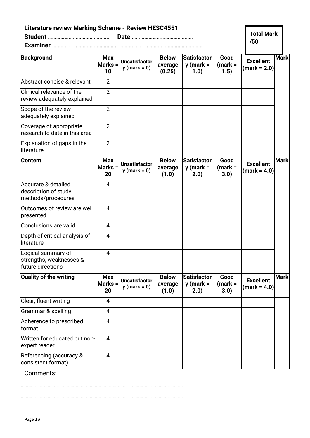<span id="page-12-0"></span>

| <b>Literature review Marking Scheme - Review HESC4551</b>          |                               |                                        |                                   |                                            |                            | <b>Total Mark</b>                  |             |
|--------------------------------------------------------------------|-------------------------------|----------------------------------------|-----------------------------------|--------------------------------------------|----------------------------|------------------------------------|-------------|
|                                                                    |                               |                                        |                                   |                                            |                            | /50                                |             |
| <b>Background</b>                                                  | <b>Max</b><br>Marks =<br>10   | <b>Unsatisfactor</b><br>$y$ (mark = 0) | <b>Below</b><br>average<br>(0.25) | <b>Satisfactor</b><br>$y$ (mark =<br>1.0)  | Good<br>$(mark =$<br>(1.5) | <b>Excellent</b><br>(mark = 2.0)   | <b>Mark</b> |
| Abstract concise & relevant                                        | $\overline{2}$                |                                        |                                   |                                            |                            |                                    |             |
| Clinical relevance of the<br>review adequately explained           | $\overline{2}$                |                                        |                                   |                                            |                            |                                    |             |
| Scope of the review<br>adequately explained                        | $\overline{2}$                |                                        |                                   |                                            |                            |                                    |             |
| Coverage of appropriate<br>research to date in this area           | $\overline{2}$                |                                        |                                   |                                            |                            |                                    |             |
| Explanation of gaps in the<br>lliterature                          | $\overline{2}$                |                                        |                                   |                                            |                            |                                    |             |
| <b>Content</b>                                                     | <b>Max</b><br>Marks $=$<br>20 | Unsatisfactor<br>$y$ (mark = 0)        | <b>Below</b><br>average<br>(1.0)  | <b>Satisfactor</b><br>$y$ (mark =<br>(2.0) | Good<br>$(mark =$<br>3.0)  | <b>Excellent</b><br>$(maxk = 4.0)$ | <b>Mark</b> |
| Accurate & detailed<br>description of study<br>methods/procedures  | 4                             |                                        |                                   |                                            |                            |                                    |             |
| Outcomes of review are well<br>presented                           | 4                             |                                        |                                   |                                            |                            |                                    |             |
| Conclusions are valid                                              | 4                             |                                        |                                   |                                            |                            |                                    |             |
| Depth of critical analysis of<br>literature                        | 4                             |                                        |                                   |                                            |                            |                                    |             |
| Logical summary of<br>strengths, weaknesses &<br>future directions | 4                             |                                        |                                   |                                            |                            |                                    |             |
| <b>Quality of the writing</b>                                      | <b>Max</b><br>Marks =<br>20   | <b>Unsatisfactor</b><br>$y$ (mark = 0) | <b>Below</b><br>average<br>(1.0)  | <b>Satisfactor</b><br>$y$ (mark =<br>(2.0) | Good<br>$(maxk =$<br>3.0)  | <b>Excellent</b><br>$(maxk = 4.0)$ | <b>Mark</b> |
| Clear, fluent writing                                              | 4                             |                                        |                                   |                                            |                            |                                    |             |
| Grammar & spelling                                                 | 4                             |                                        |                                   |                                            |                            |                                    |             |
| Adherence to prescribed<br>format                                  | 4                             |                                        |                                   |                                            |                            |                                    |             |
| Written for educated but non-<br>expert reader                     | $\overline{4}$                |                                        |                                   |                                            |                            |                                    |             |
| Referencing (accuracy &<br>consistent format)                      | 4                             |                                        |                                   |                                            |                            |                                    |             |

Comments:

………………………………………………………………………………………………………………….

………………………………………………………………………………………………………………….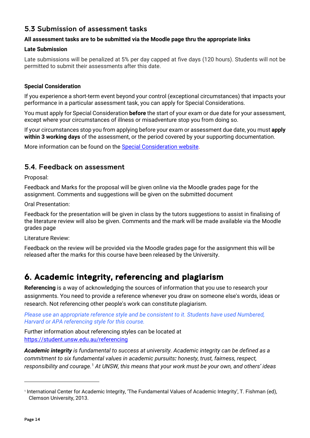### <span id="page-13-0"></span>5.3 Submission of assessment tasks

#### **All assessment tasks are to be submitted via the Moodle page thru the appropriate links**

#### **Late Submission**

Late submissions will be penalized at 5% per day capped at five days (120 hours). Students will not be permitted to submit their assessments after this date.

#### **Special Consideration**

If you experience a short-term event beyond your control (exceptional circumstances) that impacts your performance in a particular assessment task, you can apply for Special Considerations.

You must apply for Special Consideration **before** the start of your exam or due date for your assessment, except where your circumstances of illness or misadventure stop you from doing so.

If your circumstances stop you from applying before your exam or assessment due date, you must **apply within 3 working days** of the assessment, or the period covered by your supporting documentation.

More information can be found on the [Special Consideration website.](https://www.student.unsw.edu.au/special-consideration)

#### <span id="page-13-1"></span>5.4. Feedback on assessment

Proposal:

Feedback and Marks for the proposal will be given online via the Moodle grades page for the assignment. Comments and suggestions will be given on the submitted document

Oral Presentation:

Feedback for the presentation will be given in class by the tutors suggestions to assist in finalising of the literature review will also be given. Comments and the mark will be made available via the Moodle grades page

Literature Review:

Feedback on the review will be provided via the Moodle grades page for the assignment this will be released after the marks for this course have been released by the University.

# <span id="page-13-2"></span>6. Academic integrity, referencing and plagiarism

**Referencing** is a way of acknowledging the sources of information that you use to research your assignments. You need to provide a reference whenever you draw on someone else's words, ideas or research. Not referencing other people's work can constitute plagiarism.

*Please use an appropriate reference style and be consistent to it. Students have used Numbered, Harvard or APA referencing style for this course.*

Further information about referencing styles can be located at <https://student.unsw.edu.au/referencing>

*Academic integrity is fundamental to success at university. Academic integrity can be defined as a commitment to six fundamental values in academic pursuits: honesty, trust, fairness, respect, responsibility and courage.*[1](#page-13-3) *At UNSW, this means that your work must be your own, and others' ideas* 

<span id="page-13-3"></span><sup>1</sup> International Center for Academic Integrity, 'The Fundamental Values of Academic Integrity', T. Fishman (ed), Clemson University, 2013.